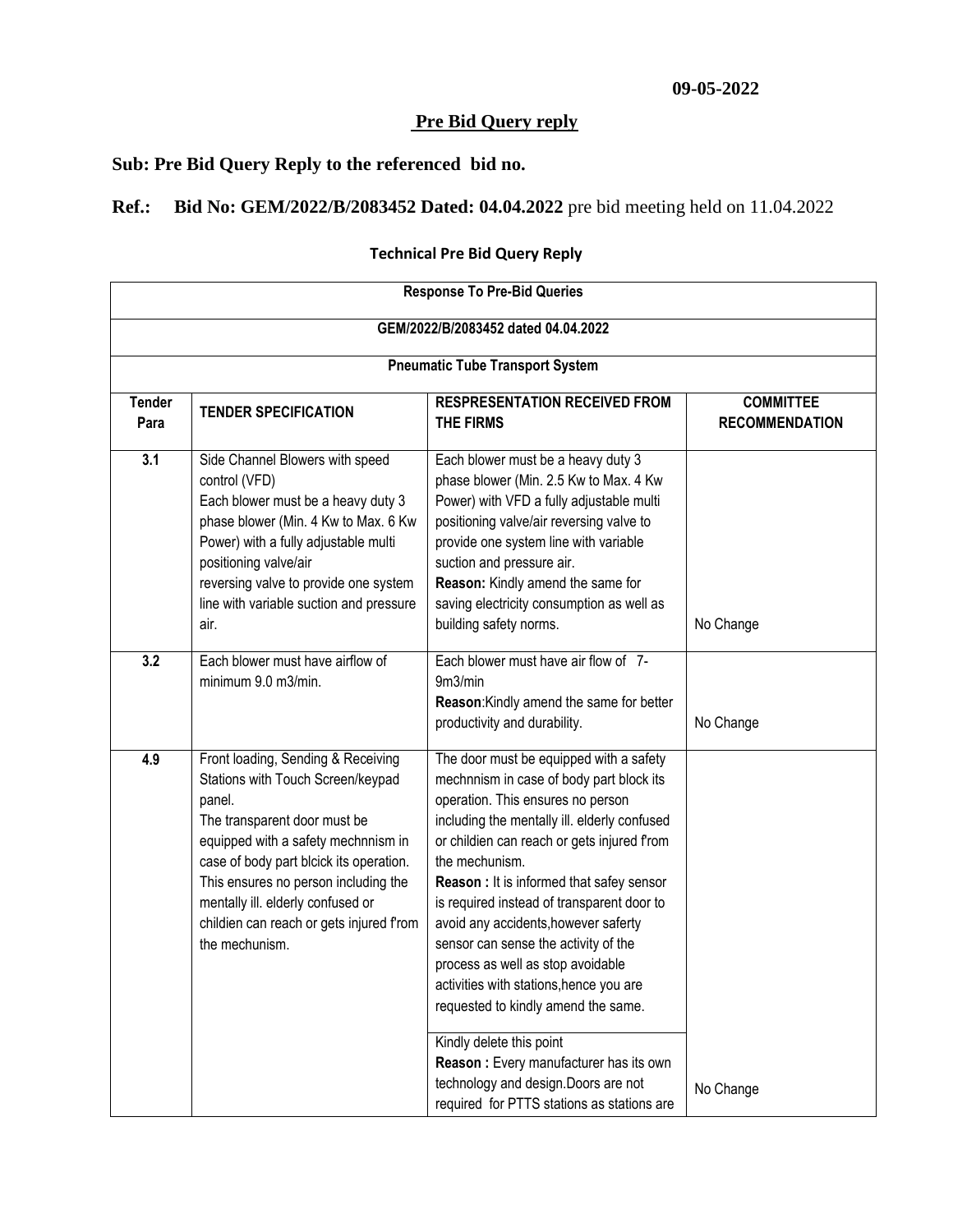## **Pre Bid Query reply**

**Sub: Pre Bid Query Reply to the referenced bid no.**

## **Ref.: Bid No: GEM/2022/B/2083452 Dated: 04.04.2022** pre bid meeting held on 11.04.2022

## **Technical Pre Bid Query Reply**

| <b>Response To Pre-Bid Queries</b>  |                                                                                                                                                                                                                                                                                                                                               |                                                                                                                                                                                                                                                                                                                                                                                                                                                                                                                                                                                                                                                                                                         |           |  |  |  |  |
|-------------------------------------|-----------------------------------------------------------------------------------------------------------------------------------------------------------------------------------------------------------------------------------------------------------------------------------------------------------------------------------------------|---------------------------------------------------------------------------------------------------------------------------------------------------------------------------------------------------------------------------------------------------------------------------------------------------------------------------------------------------------------------------------------------------------------------------------------------------------------------------------------------------------------------------------------------------------------------------------------------------------------------------------------------------------------------------------------------------------|-----------|--|--|--|--|
| GEM/2022/B/2083452 dated 04.04.2022 |                                                                                                                                                                                                                                                                                                                                               |                                                                                                                                                                                                                                                                                                                                                                                                                                                                                                                                                                                                                                                                                                         |           |  |  |  |  |
|                                     | <b>Pneumatic Tube Transport System</b>                                                                                                                                                                                                                                                                                                        |                                                                                                                                                                                                                                                                                                                                                                                                                                                                                                                                                                                                                                                                                                         |           |  |  |  |  |
| <b>Tender</b><br>Para               | <b>TENDER SPECIFICATION</b>                                                                                                                                                                                                                                                                                                                   | <b>COMMITTEE</b><br><b>RECOMMENDATION</b>                                                                                                                                                                                                                                                                                                                                                                                                                                                                                                                                                                                                                                                               |           |  |  |  |  |
| 3.1                                 | Side Channel Blowers with speed<br>control (VFD)<br>Each blower must be a heavy duty 3<br>phase blower (Min. 4 Kw to Max. 6 Kw<br>Power) with a fully adjustable multi<br>positioning valve/air<br>reversing valve to provide one system<br>line with variable suction and pressure<br>air.                                                   | Each blower must be a heavy duty 3<br>phase blower (Min. 2.5 Kw to Max. 4 Kw<br>Power) with VFD a fully adjustable multi<br>positioning valve/air reversing valve to<br>provide one system line with variable<br>suction and pressure air.<br>Reason: Kindly amend the same for<br>saving electricity consumption as well as<br>building safety norms.                                                                                                                                                                                                                                                                                                                                                  | No Change |  |  |  |  |
| 3.2                                 | Each blower must have airflow of<br>minimum 9.0 m3/min.                                                                                                                                                                                                                                                                                       | Each blower must have air flow of 7-<br>9m3/min<br>Reason: Kindly amend the same for better<br>productivity and durability.                                                                                                                                                                                                                                                                                                                                                                                                                                                                                                                                                                             | No Change |  |  |  |  |
| 4.9                                 | Front loading, Sending & Receiving<br>Stations with Touch Screen/keypad<br>panel.<br>The transparent door must be<br>equipped with a safety mechnnism in<br>case of body part blcick its operation.<br>This ensures no person including the<br>mentally ill. elderly confused or<br>childien can reach or gets injured from<br>the mechunism. | The door must be equipped with a safety<br>mechnnism in case of body part block its<br>operation. This ensures no person<br>including the mentally ill. elderly confused<br>or childien can reach or gets injured from<br>the mechunism.<br>Reason : It is informed that safey sensor<br>is required instead of transparent door to<br>avoid any accidents, however saferty<br>sensor can sense the activity of the<br>process as well as stop avoidable<br>activities with stations, hence you are<br>requested to kindly amend the same.<br>Kindly delete this point<br>Reason : Every manufacturer has its own<br>technology and design. Doors are not<br>required for PTTS stations as stations are | No Change |  |  |  |  |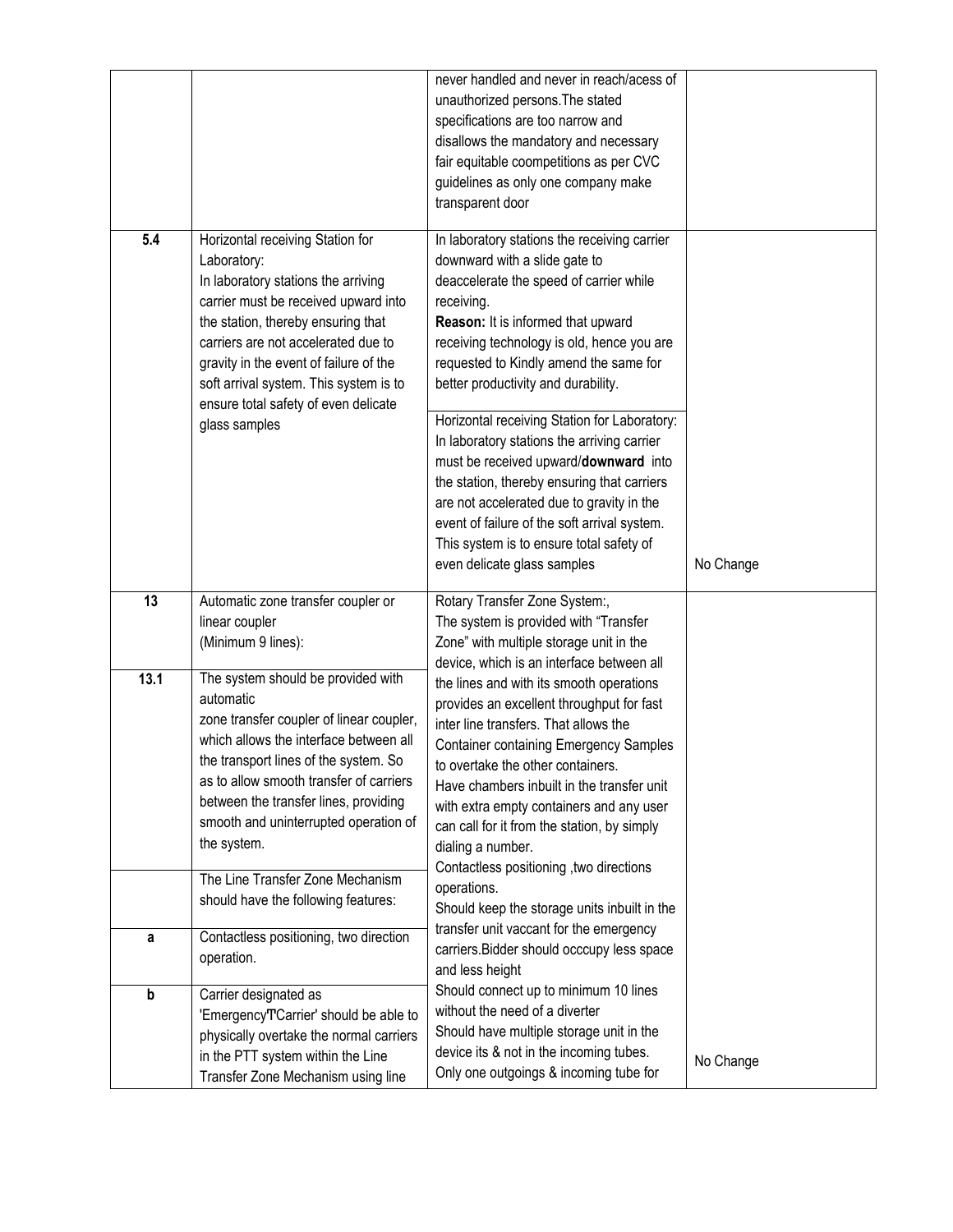| 5.4  | Horizontal receiving Station for<br>Laboratory:<br>In laboratory stations the arriving<br>carrier must be received upward into<br>the station, thereby ensuring that<br>carriers are not accelerated due to<br>gravity in the event of failure of the<br>soft arrival system. This system is to<br>ensure total safety of even delicate<br>glass samples | never handled and never in reach/acess of<br>unauthorized persons. The stated<br>specifications are too narrow and<br>disallows the mandatory and necessary<br>fair equitable coompetitions as per CVC<br>guidelines as only one company make<br>transparent door<br>In laboratory stations the receiving carrier<br>downward with a slide gate to<br>deaccelerate the speed of carrier while<br>receiving.<br>Reason: It is informed that upward<br>receiving technology is old, hence you are<br>requested to Kindly amend the same for<br>better productivity and durability.<br>Horizontal receiving Station for Laboratory:<br>In laboratory stations the arriving carrier<br>must be received upward/downward into<br>the station, thereby ensuring that carriers<br>are not accelerated due to gravity in the<br>event of failure of the soft arrival system.<br>This system is to ensure total safety of |           |
|------|----------------------------------------------------------------------------------------------------------------------------------------------------------------------------------------------------------------------------------------------------------------------------------------------------------------------------------------------------------|------------------------------------------------------------------------------------------------------------------------------------------------------------------------------------------------------------------------------------------------------------------------------------------------------------------------------------------------------------------------------------------------------------------------------------------------------------------------------------------------------------------------------------------------------------------------------------------------------------------------------------------------------------------------------------------------------------------------------------------------------------------------------------------------------------------------------------------------------------------------------------------------------------------|-----------|
|      |                                                                                                                                                                                                                                                                                                                                                          | even delicate glass samples                                                                                                                                                                                                                                                                                                                                                                                                                                                                                                                                                                                                                                                                                                                                                                                                                                                                                      | No Change |
| 13   | Automatic zone transfer coupler or<br>linear coupler<br>(Minimum 9 lines):                                                                                                                                                                                                                                                                               | Rotary Transfer Zone System:,<br>The system is provided with "Transfer<br>Zone" with multiple storage unit in the<br>device, which is an interface between all                                                                                                                                                                                                                                                                                                                                                                                                                                                                                                                                                                                                                                                                                                                                                   |           |
| 13.1 | The system should be provided with<br>automatic<br>zone transfer coupler of linear coupler,<br>which allows the interface between all<br>the transport lines of the system. So<br>as to allow smooth transfer of carriers<br>between the transfer lines, providing<br>smooth and uninterrupted operation of<br>the system.                               | the lines and with its smooth operations<br>provides an excellent throughput for fast<br>inter line transfers. That allows the<br><b>Container containing Emergency Samples</b><br>to overtake the other containers<br>Have chambers inbuilt in the transfer unit<br>with extra empty containers and any user<br>can call for it from the station, by simply<br>dialing a number.<br>Contactless positioning , two directions                                                                                                                                                                                                                                                                                                                                                                                                                                                                                    |           |
|      | The Line Transfer Zone Mechanism<br>should have the following features:                                                                                                                                                                                                                                                                                  | operations.<br>Should keep the storage units inbuilt in the                                                                                                                                                                                                                                                                                                                                                                                                                                                                                                                                                                                                                                                                                                                                                                                                                                                      |           |
| а    | Contactless positioning, two direction<br>operation.                                                                                                                                                                                                                                                                                                     | transfer unit vaccant for the emergency<br>carriers. Bidder should occcupy less space<br>and less height                                                                                                                                                                                                                                                                                                                                                                                                                                                                                                                                                                                                                                                                                                                                                                                                         |           |
| b    | Carrier designated as<br>'EmergencyT'Carrier' should be able to<br>physically overtake the normal carriers<br>in the PTT system within the Line<br>Transfer Zone Mechanism using line                                                                                                                                                                    | Should connect up to minimum 10 lines<br>without the need of a diverter<br>Should have multiple storage unit in the<br>device its & not in the incoming tubes.<br>Only one outgoings & incoming tube for                                                                                                                                                                                                                                                                                                                                                                                                                                                                                                                                                                                                                                                                                                         | No Change |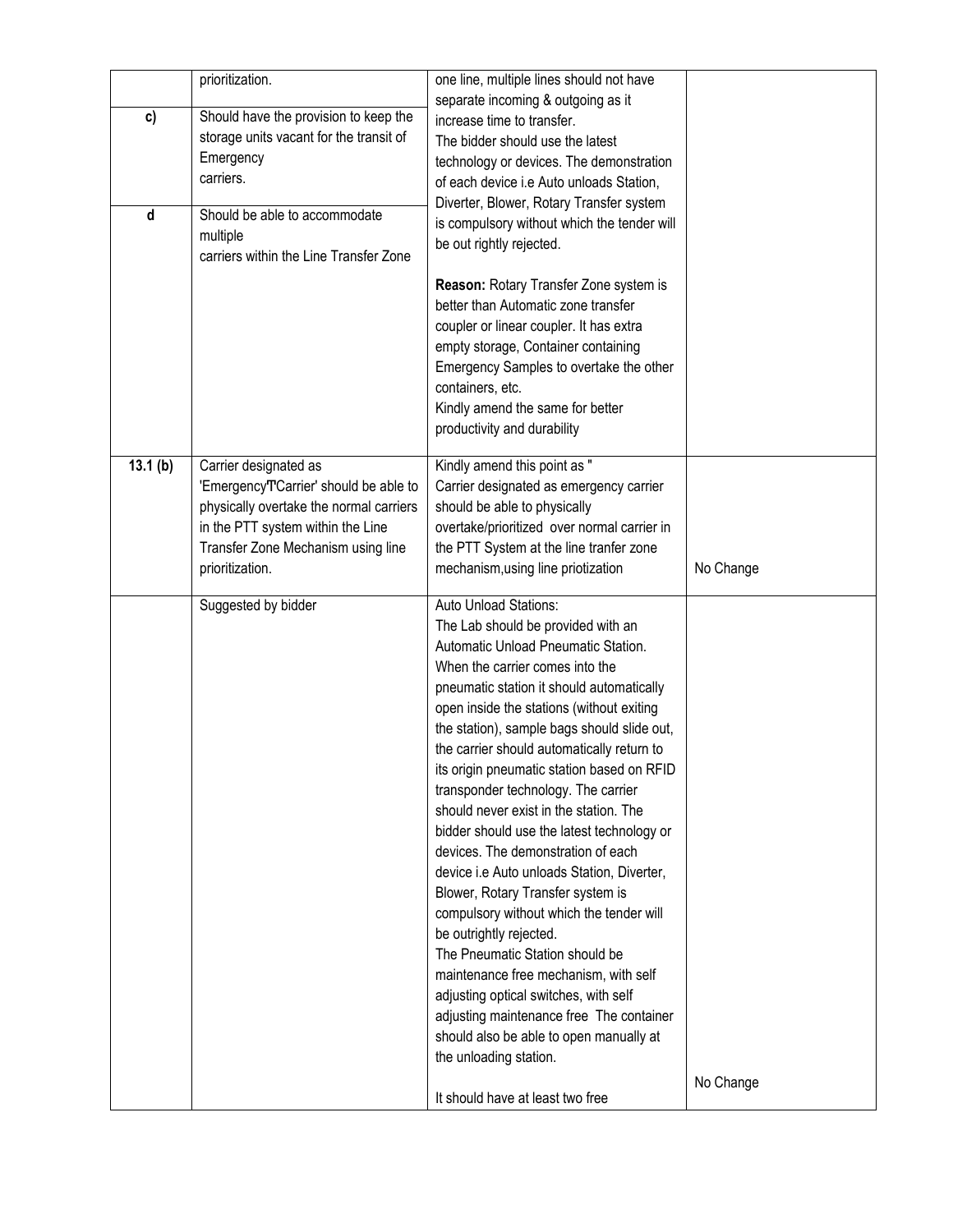| c)<br>d | prioritization.<br>Should have the provision to keep the<br>storage units vacant for the transit of<br>Emergency<br>carriers.<br>Should be able to accommodate<br>multiple<br>carriers within the Line Transfer Zone | one line, multiple lines should not have<br>separate incoming & outgoing as it<br>increase time to transfer.<br>The bidder should use the latest<br>technology or devices. The demonstration<br>of each device i.e Auto unloads Station,<br>Diverter, Blower, Rotary Transfer system<br>is compulsory without which the tender will<br>be out rightly rejected.<br>Reason: Rotary Transfer Zone system is<br>better than Automatic zone transfer<br>coupler or linear coupler. It has extra<br>empty storage, Container containing<br>Emergency Samples to overtake the other<br>containers, etc.<br>Kindly amend the same for better<br>productivity and durability                                                                                                                                                                                                                                                                                                                |           |
|---------|----------------------------------------------------------------------------------------------------------------------------------------------------------------------------------------------------------------------|-------------------------------------------------------------------------------------------------------------------------------------------------------------------------------------------------------------------------------------------------------------------------------------------------------------------------------------------------------------------------------------------------------------------------------------------------------------------------------------------------------------------------------------------------------------------------------------------------------------------------------------------------------------------------------------------------------------------------------------------------------------------------------------------------------------------------------------------------------------------------------------------------------------------------------------------------------------------------------------|-----------|
| 13.1(b) | Carrier designated as<br>'EmergencyTCarrier' should be able to<br>physically overtake the normal carriers<br>in the PTT system within the Line<br>Transfer Zone Mechanism using line<br>prioritization.              | Kindly amend this point as "<br>Carrier designated as emergency carrier<br>should be able to physically<br>overtake/prioritized over normal carrier in<br>the PTT System at the line tranfer zone<br>mechanism, using line priotization                                                                                                                                                                                                                                                                                                                                                                                                                                                                                                                                                                                                                                                                                                                                             | No Change |
|         | Suggested by bidder                                                                                                                                                                                                  | Auto Unload Stations:<br>The Lab should be provided with an<br>Automatic Unload Pneumatic Station.<br>When the carrier comes into the<br>pneumatic station it should automatically<br>open inside the stations (without exiting<br>the station), sample bags should slide out,<br>the carrier should automatically return to<br>its origin pneumatic station based on RFID<br>transponder technology. The carrier<br>should never exist in the station. The<br>bidder should use the latest technology or<br>devices. The demonstration of each<br>device i.e Auto unloads Station, Diverter,<br>Blower, Rotary Transfer system is<br>compulsory without which the tender will<br>be outrightly rejected.<br>The Pneumatic Station should be<br>maintenance free mechanism, with self<br>adjusting optical switches, with self<br>adjusting maintenance free The container<br>should also be able to open manually at<br>the unloading station.<br>It should have at least two free | No Change |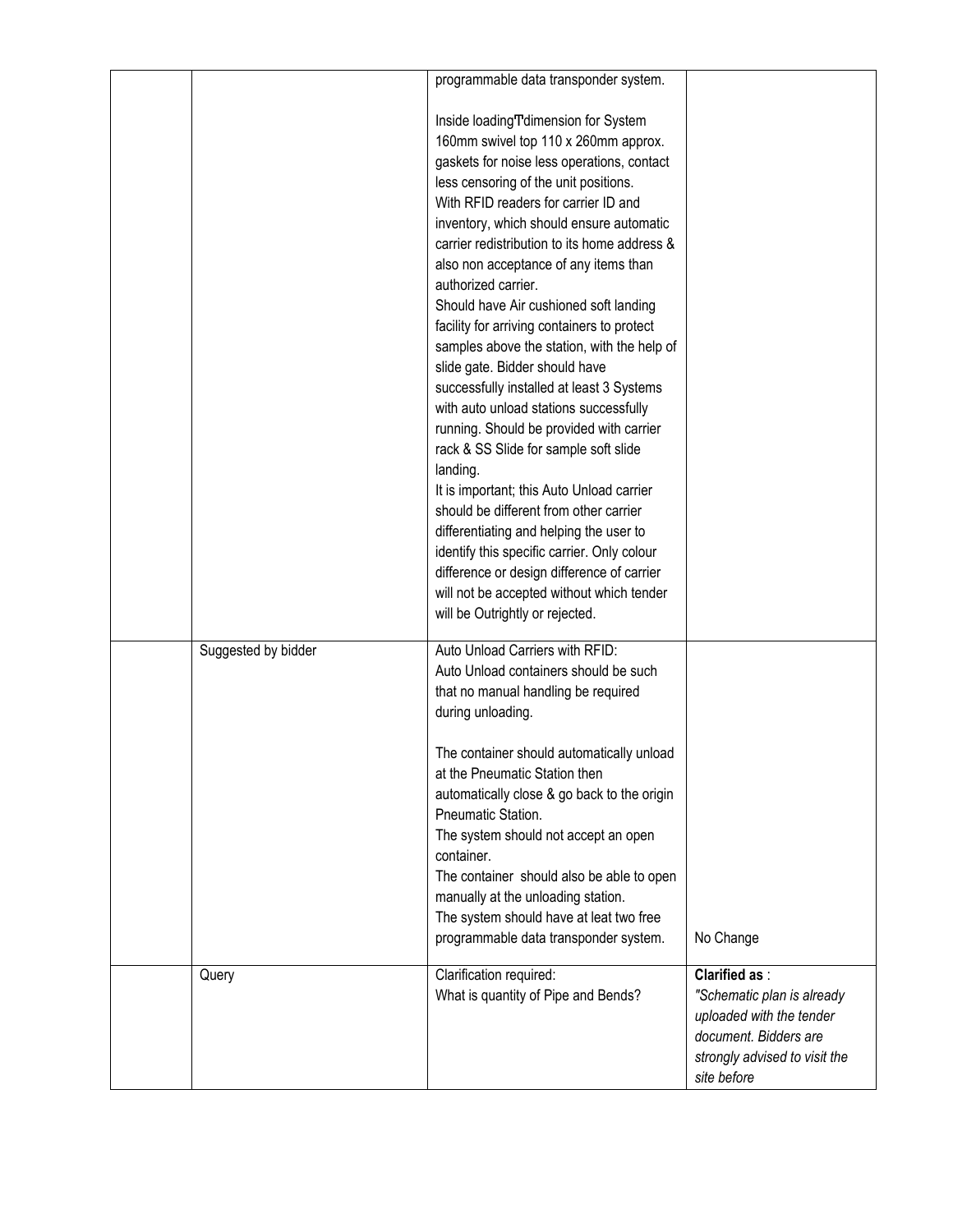|                     | programmable data transponder system.<br>Inside loadingTdimension for System<br>160mm swivel top 110 x 260mm approx.<br>gaskets for noise less operations, contact                                                                                                                                                                                                                                                                                                                                                   |                                                                                                                                                         |
|---------------------|----------------------------------------------------------------------------------------------------------------------------------------------------------------------------------------------------------------------------------------------------------------------------------------------------------------------------------------------------------------------------------------------------------------------------------------------------------------------------------------------------------------------|---------------------------------------------------------------------------------------------------------------------------------------------------------|
|                     | less censoring of the unit positions.<br>With RFID readers for carrier ID and<br>inventory, which should ensure automatic<br>carrier redistribution to its home address &<br>also non acceptance of any items than<br>authorized carrier.<br>Should have Air cushioned soft landing<br>facility for arriving containers to protect<br>samples above the station, with the help of<br>slide gate. Bidder should have<br>successfully installed at least 3 Systems<br>with auto unload stations successfully           |                                                                                                                                                         |
|                     | running. Should be provided with carrier<br>rack & SS Slide for sample soft slide<br>landing.<br>It is important; this Auto Unload carrier<br>should be different from other carrier<br>differentiating and helping the user to<br>identify this specific carrier. Only colour<br>difference or design difference of carrier<br>will not be accepted without which tender<br>will be Outrightly or rejected.                                                                                                         |                                                                                                                                                         |
| Suggested by bidder | Auto Unload Carriers with RFID:<br>Auto Unload containers should be such<br>that no manual handling be required<br>during unloading.<br>The container should automatically unload<br>at the Pneumatic Station then<br>automatically close & go back to the origin<br>Pneumatic Station.<br>The system should not accept an open<br>container.<br>The container should also be able to open<br>manually at the unloading station.<br>The system should have at leat two free<br>programmable data transponder system. | No Change                                                                                                                                               |
| Query               | Clarification required:<br>What is quantity of Pipe and Bends?                                                                                                                                                                                                                                                                                                                                                                                                                                                       | <b>Clarified as:</b><br>"Schematic plan is already<br>uploaded with the tender<br>document. Bidders are<br>strongly advised to visit the<br>site before |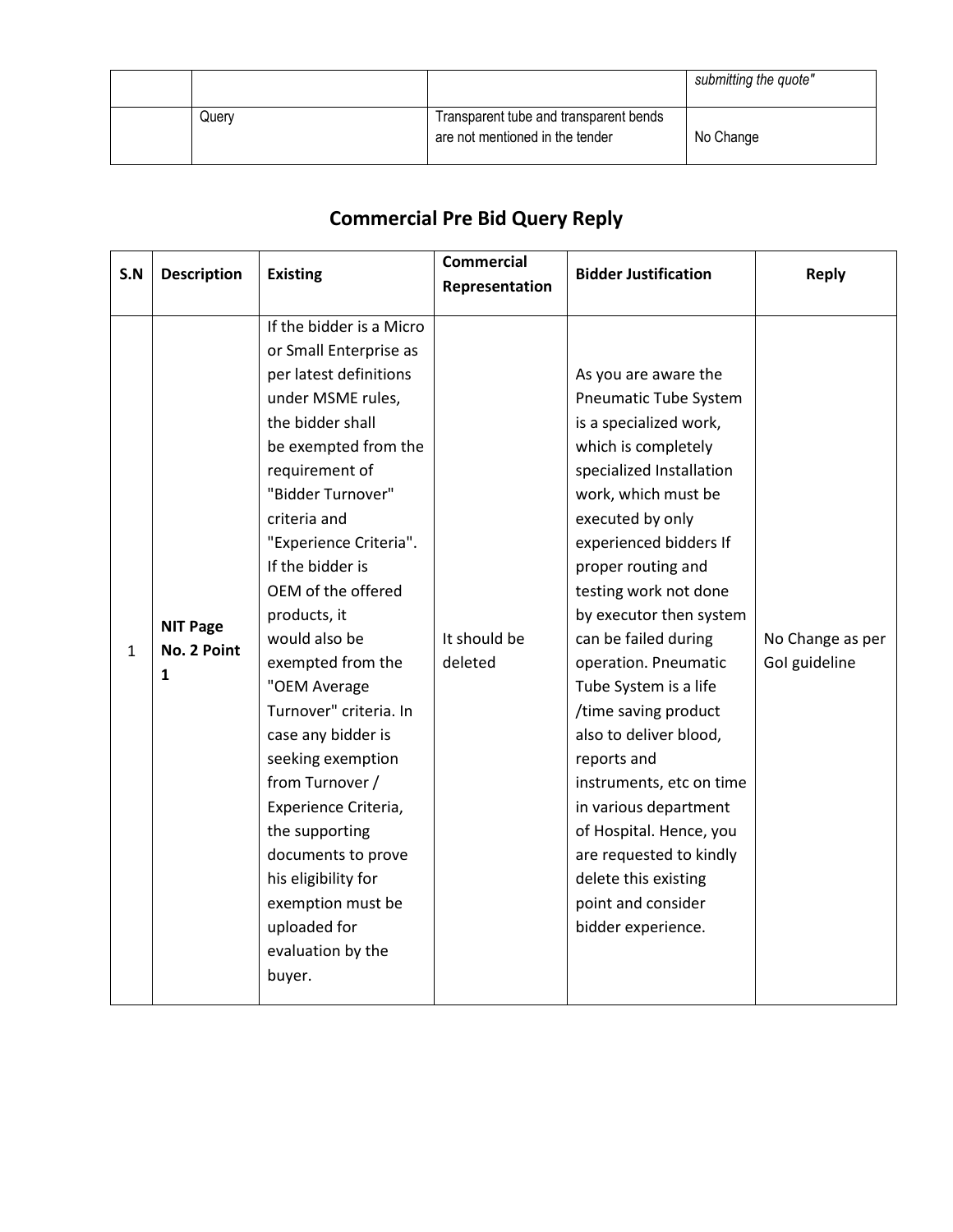|       |                                                                           | submitting the quote" |
|-------|---------------------------------------------------------------------------|-----------------------|
| Query | Transparent tube and transparent bends<br>are not mentioned in the tender | No Change             |

## **Commercial Pre Bid Query Reply**

| <b>Description</b><br>S.N |                                     |                                                                                                                                                                                                                                                                                                                                                                                                                                                                                                                                                                                                   | <b>Commercial</b>       | <b>Bidder Justification</b>                                                                                                                                                                                                                                                                                                                                                                                                                                                                                                                                                                        |                                   |
|---------------------------|-------------------------------------|---------------------------------------------------------------------------------------------------------------------------------------------------------------------------------------------------------------------------------------------------------------------------------------------------------------------------------------------------------------------------------------------------------------------------------------------------------------------------------------------------------------------------------------------------------------------------------------------------|-------------------------|----------------------------------------------------------------------------------------------------------------------------------------------------------------------------------------------------------------------------------------------------------------------------------------------------------------------------------------------------------------------------------------------------------------------------------------------------------------------------------------------------------------------------------------------------------------------------------------------------|-----------------------------------|
|                           |                                     | <b>Existing</b>                                                                                                                                                                                                                                                                                                                                                                                                                                                                                                                                                                                   | Representation          |                                                                                                                                                                                                                                                                                                                                                                                                                                                                                                                                                                                                    | <b>Reply</b>                      |
| 1                         | <b>NIT Page</b><br>No. 2 Point<br>1 | If the bidder is a Micro<br>or Small Enterprise as<br>per latest definitions<br>under MSME rules,<br>the bidder shall<br>be exempted from the<br>requirement of<br>"Bidder Turnover"<br>criteria and<br>"Experience Criteria".<br>If the bidder is<br>OEM of the offered<br>products, it<br>would also be<br>exempted from the<br>"OEM Average<br>Turnover" criteria. In<br>case any bidder is<br>seeking exemption<br>from Turnover /<br>Experience Criteria,<br>the supporting<br>documents to prove<br>his eligibility for<br>exemption must be<br>uploaded for<br>evaluation by the<br>buyer. | It should be<br>deleted | As you are aware the<br>Pneumatic Tube System<br>is a specialized work,<br>which is completely<br>specialized Installation<br>work, which must be<br>executed by only<br>experienced bidders If<br>proper routing and<br>testing work not done<br>by executor then system<br>can be failed during<br>operation. Pneumatic<br>Tube System is a life<br>/time saving product<br>also to deliver blood,<br>reports and<br>instruments, etc on time<br>in various department<br>of Hospital. Hence, you<br>are requested to kindly<br>delete this existing<br>point and consider<br>bidder experience. | No Change as per<br>Gol guideline |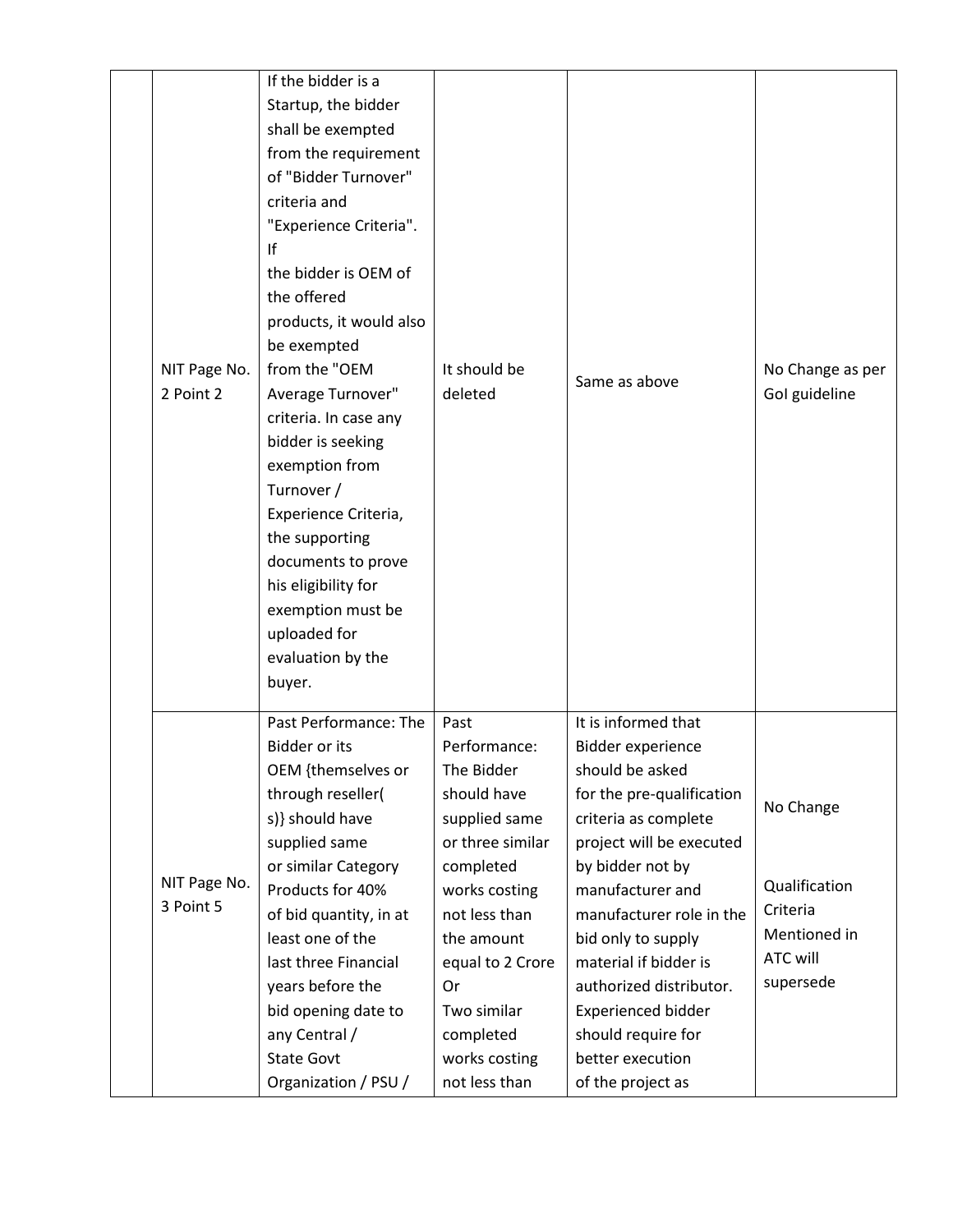|                           | If the bidder is a      |                  |                           |                  |
|---------------------------|-------------------------|------------------|---------------------------|------------------|
|                           | Startup, the bidder     |                  |                           |                  |
|                           | shall be exempted       |                  |                           |                  |
|                           | from the requirement    |                  |                           |                  |
|                           | of "Bidder Turnover"    |                  |                           |                  |
|                           | criteria and            |                  |                           |                  |
|                           | "Experience Criteria".  |                  |                           |                  |
|                           | If                      |                  |                           |                  |
|                           | the bidder is OEM of    |                  |                           |                  |
|                           | the offered             |                  |                           |                  |
|                           | products, it would also |                  |                           |                  |
|                           | be exempted             |                  |                           |                  |
| NIT Page No.              | from the "OEM           | It should be     |                           | No Change as per |
| 2 Point 2                 | Average Turnover"       | deleted          | Same as above             | Gol guideline    |
|                           | criteria. In case any   |                  |                           |                  |
|                           | bidder is seeking       |                  |                           |                  |
|                           | exemption from          |                  |                           |                  |
|                           | Turnover /              |                  |                           |                  |
|                           | Experience Criteria,    |                  |                           |                  |
|                           | the supporting          |                  |                           |                  |
|                           | documents to prove      |                  |                           |                  |
|                           | his eligibility for     |                  |                           |                  |
|                           | exemption must be       |                  |                           |                  |
|                           | uploaded for            |                  |                           |                  |
|                           | evaluation by the       |                  |                           |                  |
|                           | buyer.                  |                  |                           |                  |
|                           |                         |                  |                           |                  |
|                           | Past Performance: The   | Past             | It is informed that       |                  |
|                           | <b>Bidder or its</b>    | Performance:     | Bidder experience         |                  |
|                           | OEM {themselves or      | The Bidder       | should be asked           |                  |
|                           | through reseller(       | should have      | for the pre-qualification | No Change        |
|                           | s)} should have         | supplied same    | criteria as complete      |                  |
|                           | supplied same           | or three similar | project will be executed  |                  |
|                           | or similar Category     | completed        | by bidder not by          |                  |
| NIT Page No.<br>3 Point 5 | Products for 40%        | works costing    | manufacturer and          | Qualification    |
|                           | of bid quantity, in at  | not less than    | manufacturer role in the  | Criteria         |
|                           | least one of the        | the amount       | bid only to supply        | Mentioned in     |
|                           | last three Financial    | equal to 2 Crore | material if bidder is     | <b>ATC will</b>  |
|                           | years before the        | Or               | authorized distributor.   | supersede        |
|                           | bid opening date to     | Two similar      | <b>Experienced bidder</b> |                  |
|                           | any Central /           | completed        | should require for        |                  |
|                           | <b>State Govt</b>       | works costing    | better execution          |                  |
|                           | Organization / PSU /    | not less than    | of the project as         |                  |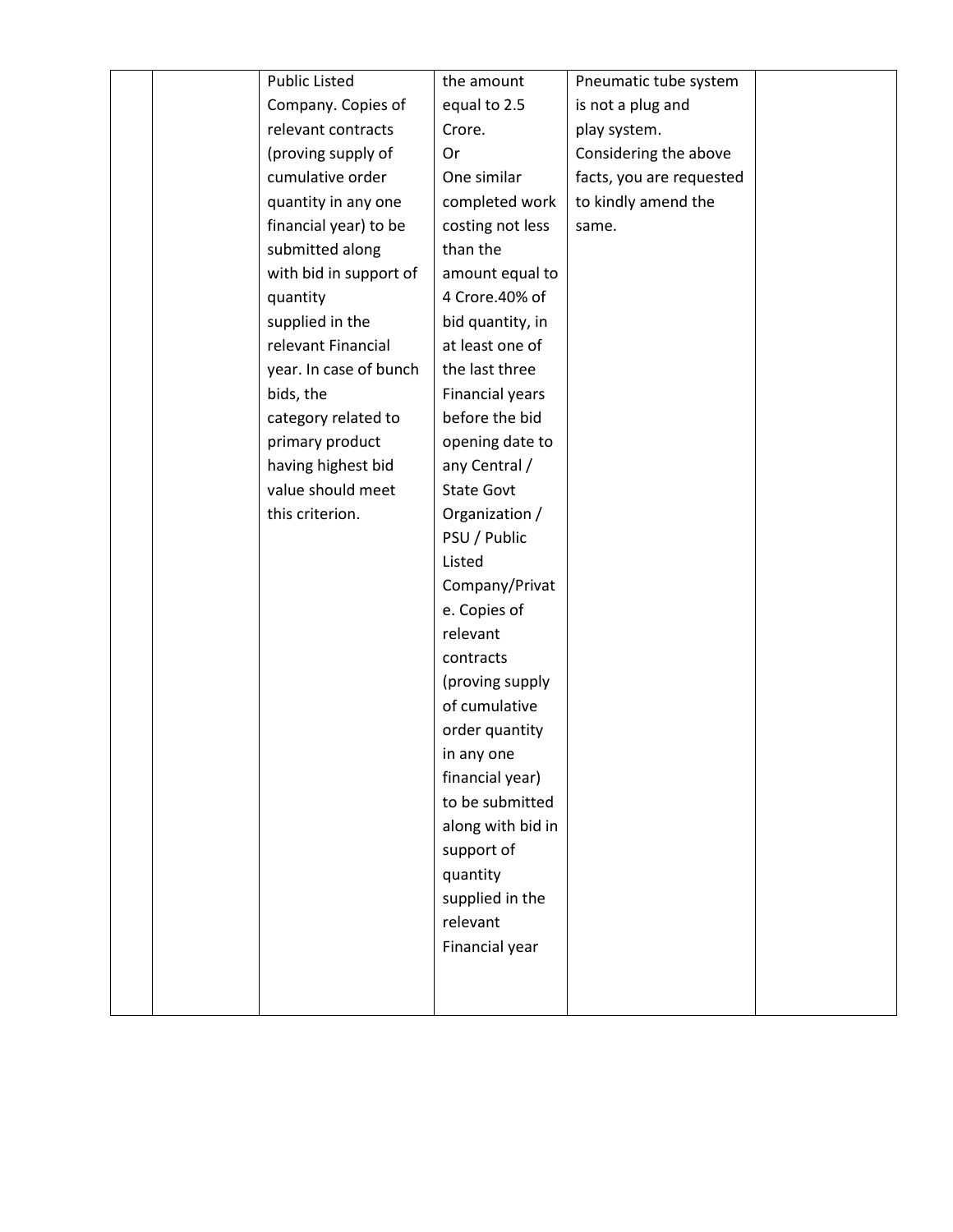|  | <b>Public Listed</b>   | the amount        | Pneumatic tube system    |  |
|--|------------------------|-------------------|--------------------------|--|
|  | Company. Copies of     | equal to 2.5      | is not a plug and        |  |
|  | relevant contracts     | Crore.            | play system.             |  |
|  | (proving supply of     | Or                | Considering the above    |  |
|  | cumulative order       | One similar       | facts, you are requested |  |
|  | quantity in any one    | completed work    | to kindly amend the      |  |
|  | financial year) to be  | costing not less  | same.                    |  |
|  | submitted along        | than the          |                          |  |
|  | with bid in support of | amount equal to   |                          |  |
|  | quantity               | 4 Crore.40% of    |                          |  |
|  | supplied in the        | bid quantity, in  |                          |  |
|  | relevant Financial     | at least one of   |                          |  |
|  | year. In case of bunch | the last three    |                          |  |
|  | bids, the              | Financial years   |                          |  |
|  | category related to    | before the bid    |                          |  |
|  | primary product        | opening date to   |                          |  |
|  | having highest bid     | any Central /     |                          |  |
|  | value should meet      | <b>State Govt</b> |                          |  |
|  | this criterion.        | Organization /    |                          |  |
|  |                        | PSU / Public      |                          |  |
|  |                        | Listed            |                          |  |
|  |                        | Company/Privat    |                          |  |
|  |                        | e. Copies of      |                          |  |
|  |                        | relevant          |                          |  |
|  |                        | contracts         |                          |  |
|  |                        | (proving supply   |                          |  |
|  |                        | of cumulative     |                          |  |
|  |                        | order quantity    |                          |  |
|  |                        | in any one        |                          |  |
|  |                        | financial year)   |                          |  |
|  |                        | to be submitted   |                          |  |
|  |                        | along with bid in |                          |  |
|  |                        | support of        |                          |  |
|  |                        | quantity          |                          |  |
|  |                        | supplied in the   |                          |  |
|  |                        | relevant          |                          |  |
|  |                        | Financial year    |                          |  |
|  |                        |                   |                          |  |
|  |                        |                   |                          |  |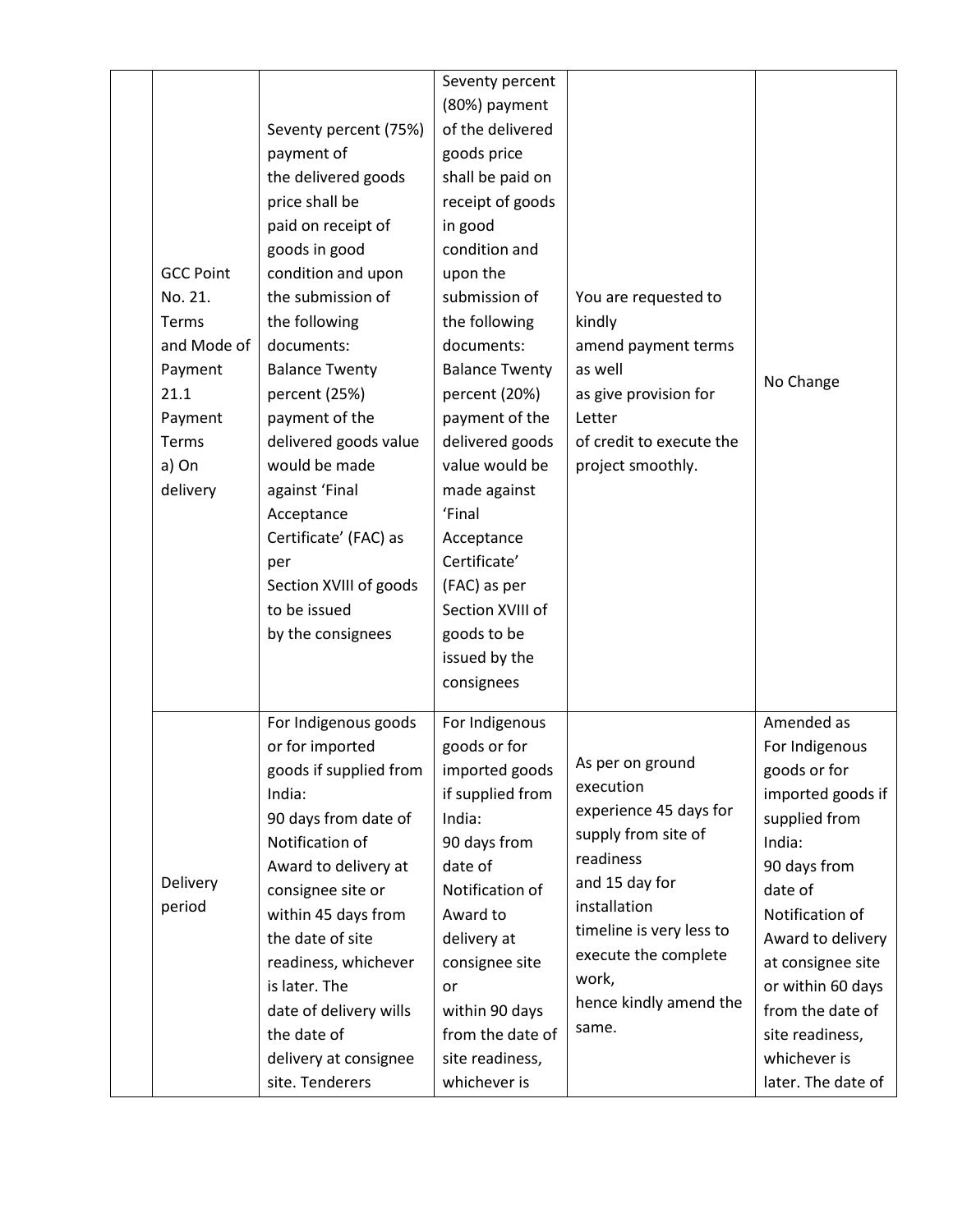|                  |                        | Seventy percent       |                          |                    |
|------------------|------------------------|-----------------------|--------------------------|--------------------|
|                  |                        | (80%) payment         |                          |                    |
|                  | Seventy percent (75%)  | of the delivered      |                          |                    |
|                  | payment of             | goods price           |                          |                    |
|                  | the delivered goods    | shall be paid on      |                          |                    |
|                  | price shall be         | receipt of goods      |                          |                    |
|                  | paid on receipt of     | in good               |                          |                    |
|                  | goods in good          | condition and         |                          |                    |
| <b>GCC Point</b> | condition and upon     | upon the              |                          |                    |
| No. 21.          | the submission of      | submission of         | You are requested to     |                    |
| Terms            | the following          | the following         | kindly                   |                    |
| and Mode of      | documents:             | documents:            | amend payment terms      |                    |
| Payment          | <b>Balance Twenty</b>  | <b>Balance Twenty</b> | as well                  |                    |
| 21.1             | percent (25%)          | percent (20%)         | as give provision for    | No Change          |
| Payment          | payment of the         | payment of the        | Letter                   |                    |
| Terms            | delivered goods value  | delivered goods       | of credit to execute the |                    |
| a) On            | would be made          | value would be        | project smoothly.        |                    |
| delivery         | against 'Final         | made against          |                          |                    |
|                  | Acceptance             | 'Final                |                          |                    |
|                  | Certificate' (FAC) as  | Acceptance            |                          |                    |
|                  | per                    | Certificate'          |                          |                    |
|                  | Section XVIII of goods | (FAC) as per          |                          |                    |
|                  | to be issued           | Section XVIII of      |                          |                    |
|                  | by the consignees      | goods to be           |                          |                    |
|                  |                        | issued by the         |                          |                    |
|                  |                        | consignees            |                          |                    |
|                  |                        |                       |                          |                    |
|                  | For Indigenous goods   | For Indigenous        |                          | Amended as         |
|                  | or for imported        | goods or for          |                          | For Indigenous     |
|                  | goods if supplied from | imported goods        | As per on ground         | goods or for       |
|                  | India:                 | if supplied from      | execution                | imported goods if  |
|                  | 90 days from date of   | India:                | experience 45 days for   | supplied from      |
|                  | Notification of        | 90 days from          | supply from site of      | India:             |
|                  | Award to delivery at   | date of               | readiness                | 90 days from       |
| Delivery         | consignee site or      | Notification of       | and 15 day for           | date of            |
| period           | within 45 days from    | Award to              | installation             | Notification of    |
|                  | the date of site       | delivery at           | timeline is very less to | Award to delivery  |
|                  | readiness, whichever   | consignee site        | execute the complete     | at consignee site  |
|                  | is later. The          | or                    | work,                    | or within 60 days  |
|                  | date of delivery wills | within 90 days        | hence kindly amend the   | from the date of   |
|                  | the date of            | from the date of      | same.                    | site readiness,    |
|                  | delivery at consignee  | site readiness,       |                          | whichever is       |
|                  | site. Tenderers        | whichever is          |                          | later. The date of |
|                  |                        |                       |                          |                    |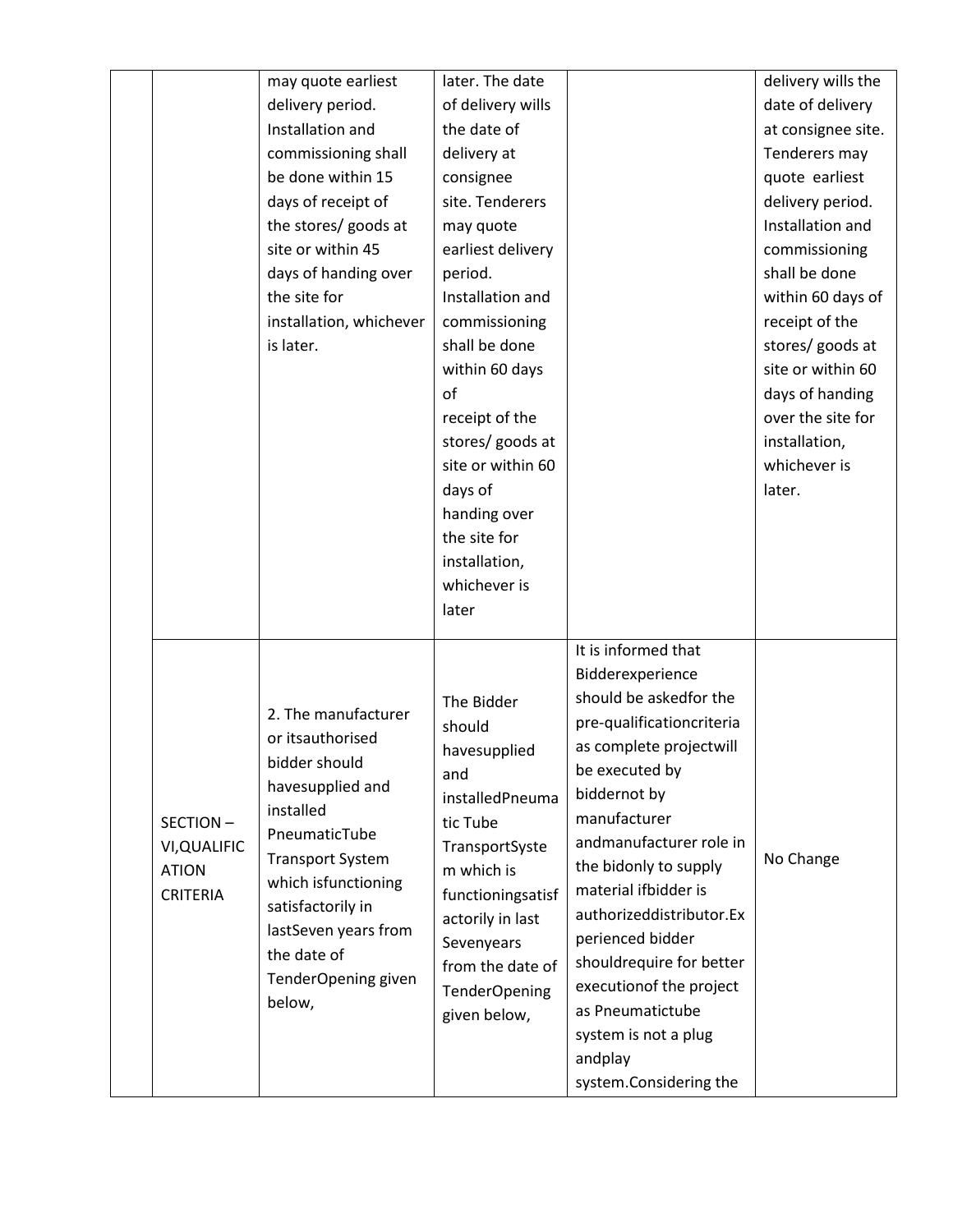|                 | may quote earliest      | later. The date      |                           | delivery wills the |
|-----------------|-------------------------|----------------------|---------------------------|--------------------|
|                 | delivery period.        | of delivery wills    |                           | date of delivery   |
|                 | Installation and        | the date of          |                           | at consignee site. |
|                 | commissioning shall     | delivery at          |                           | Tenderers may      |
|                 | be done within 15       | consignee            |                           | quote earliest     |
|                 | days of receipt of      | site. Tenderers      |                           | delivery period.   |
|                 | the stores/ goods at    | may quote            |                           | Installation and   |
|                 | site or within 45       | earliest delivery    |                           | commissioning      |
|                 | days of handing over    | period.              |                           | shall be done      |
|                 | the site for            | Installation and     |                           | within 60 days of  |
|                 | installation, whichever | commissioning        |                           | receipt of the     |
|                 | is later.               | shall be done        |                           | stores/ goods at   |
|                 |                         | within 60 days       |                           | site or within 60  |
|                 |                         | of                   |                           | days of handing    |
|                 |                         | receipt of the       |                           | over the site for  |
|                 |                         | stores/ goods at     |                           | installation,      |
|                 |                         | site or within 60    |                           | whichever is       |
|                 |                         | days of              |                           | later.             |
|                 |                         | handing over         |                           |                    |
|                 |                         | the site for         |                           |                    |
|                 |                         | installation,        |                           |                    |
|                 |                         | whichever is         |                           |                    |
|                 |                         | later                |                           |                    |
|                 |                         |                      | It is informed that       |                    |
|                 |                         |                      | Bidderexperience          |                    |
|                 |                         | The Bidder           | should be askedfor the    |                    |
|                 | 2. The manufacturer     | should               | pre-qualificationcriteria |                    |
|                 | or itsauthorised        | havesupplied         | as complete projectwill   |                    |
|                 | bidder should           | and                  | be executed by            |                    |
|                 | havesupplied and        | installedPneuma      | biddernot by              |                    |
| SECTION-        | installed               | tic Tube             | manufacturer              |                    |
| VI, QUALIFIC    | PneumaticTube           | TransportSyste       | andmanufacturer role in   |                    |
| <b>ATION</b>    | <b>Transport System</b> | m which is           | the bidonly to supply     | No Change          |
| <b>CRITERIA</b> | which isfunctioning     | functioningsatisf    | material ifbidder is      |                    |
|                 | satisfactorily in       | actorily in last     | authorizeddistributor.Ex  |                    |
|                 | lastSeven years from    | Sevenyears           | perienced bidder          |                    |
|                 | the date of             | from the date of     | shouldrequire for better  |                    |
|                 | TenderOpening given     | <b>TenderOpening</b> | executionof the project   |                    |
|                 | below,                  | given below,         | as Pneumatictube          |                    |
|                 |                         |                      | system is not a plug      |                    |
|                 |                         |                      | andplay                   |                    |
|                 |                         |                      | system.Considering the    |                    |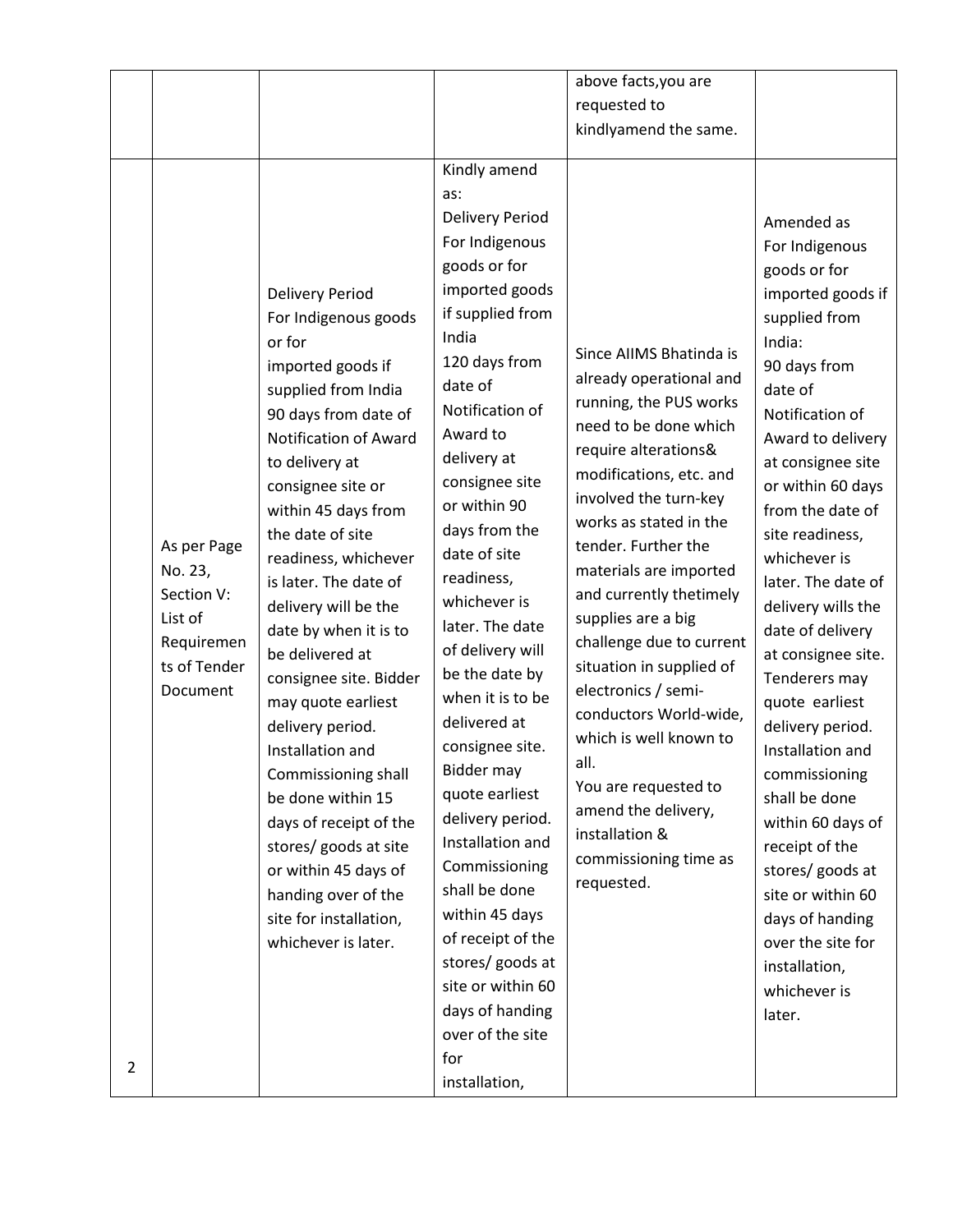|                |                                                                                           |                                                                                                                                                                                                                                                                                                                                                                                                                                                                                                                                                                                                                                                     |                                                                                                                                                                                                                                                                                                                                                                                                                                                                                                                                                                                                                                                                             | above facts, you are                                                                                                                                                                                                                                                                                                                                                                                                                                                                                                                                             |                                                                                                                                                                                                                                                                                                                                                                                                                                                                                                                                                                                                                                        |
|----------------|-------------------------------------------------------------------------------------------|-----------------------------------------------------------------------------------------------------------------------------------------------------------------------------------------------------------------------------------------------------------------------------------------------------------------------------------------------------------------------------------------------------------------------------------------------------------------------------------------------------------------------------------------------------------------------------------------------------------------------------------------------------|-----------------------------------------------------------------------------------------------------------------------------------------------------------------------------------------------------------------------------------------------------------------------------------------------------------------------------------------------------------------------------------------------------------------------------------------------------------------------------------------------------------------------------------------------------------------------------------------------------------------------------------------------------------------------------|------------------------------------------------------------------------------------------------------------------------------------------------------------------------------------------------------------------------------------------------------------------------------------------------------------------------------------------------------------------------------------------------------------------------------------------------------------------------------------------------------------------------------------------------------------------|----------------------------------------------------------------------------------------------------------------------------------------------------------------------------------------------------------------------------------------------------------------------------------------------------------------------------------------------------------------------------------------------------------------------------------------------------------------------------------------------------------------------------------------------------------------------------------------------------------------------------------------|
|                |                                                                                           |                                                                                                                                                                                                                                                                                                                                                                                                                                                                                                                                                                                                                                                     |                                                                                                                                                                                                                                                                                                                                                                                                                                                                                                                                                                                                                                                                             | requested to                                                                                                                                                                                                                                                                                                                                                                                                                                                                                                                                                     |                                                                                                                                                                                                                                                                                                                                                                                                                                                                                                                                                                                                                                        |
|                |                                                                                           |                                                                                                                                                                                                                                                                                                                                                                                                                                                                                                                                                                                                                                                     |                                                                                                                                                                                                                                                                                                                                                                                                                                                                                                                                                                                                                                                                             | kindlyamend the same.                                                                                                                                                                                                                                                                                                                                                                                                                                                                                                                                            |                                                                                                                                                                                                                                                                                                                                                                                                                                                                                                                                                                                                                                        |
| $\overline{2}$ | As per Page<br>No. 23,<br>Section V:<br>List of<br>Requiremen<br>ts of Tender<br>Document | <b>Delivery Period</b><br>For Indigenous goods<br>or for<br>imported goods if<br>supplied from India<br>90 days from date of<br>Notification of Award<br>to delivery at<br>consignee site or<br>within 45 days from<br>the date of site<br>readiness, whichever<br>is later. The date of<br>delivery will be the<br>date by when it is to<br>be delivered at<br>consignee site. Bidder<br>may quote earliest<br>delivery period.<br>Installation and<br>Commissioning shall<br>be done within 15<br>days of receipt of the<br>stores/ goods at site<br>or within 45 days of<br>handing over of the<br>site for installation,<br>whichever is later. | Kindly amend<br>as:<br>Delivery Period<br>For Indigenous<br>goods or for<br>imported goods<br>if supplied from<br>India<br>120 days from<br>date of<br>Notification of<br>Award to<br>delivery at<br>consignee site<br>or within 90<br>days from the<br>date of site<br>readiness,<br>whichever is<br>later. The date<br>of delivery will<br>be the date by<br>when it is to be<br>delivered at<br>consignee site.<br>Bidder may<br>quote earliest<br>delivery period.<br>Installation and<br>Commissioning<br>shall be done<br>within 45 days<br>of receipt of the<br>stores/ goods at<br>site or within 60<br>days of handing<br>over of the site<br>for<br>installation, | Since AIIMS Bhatinda is<br>already operational and<br>running, the PUS works<br>need to be done which<br>require alterations&<br>modifications, etc. and<br>involved the turn-key<br>works as stated in the<br>tender. Further the<br>materials are imported<br>and currently thetimely<br>supplies are a big<br>challenge due to current<br>situation in supplied of<br>electronics / semi-<br>conductors World-wide,<br>which is well known to<br>all.<br>You are requested to<br>amend the delivery,<br>installation &<br>commissioning time as<br>requested. | Amended as<br>For Indigenous<br>goods or for<br>imported goods if<br>supplied from<br>India:<br>90 days from<br>date of<br>Notification of<br>Award to delivery<br>at consignee site<br>or within 60 days<br>from the date of<br>site readiness,<br>whichever is<br>later. The date of<br>delivery wills the<br>date of delivery<br>at consignee site.<br>Tenderers may<br>quote earliest<br>delivery period.<br>Installation and<br>commissioning<br>shall be done<br>within 60 days of<br>receipt of the<br>stores/ goods at<br>site or within 60<br>days of handing<br>over the site for<br>installation,<br>whichever is<br>later. |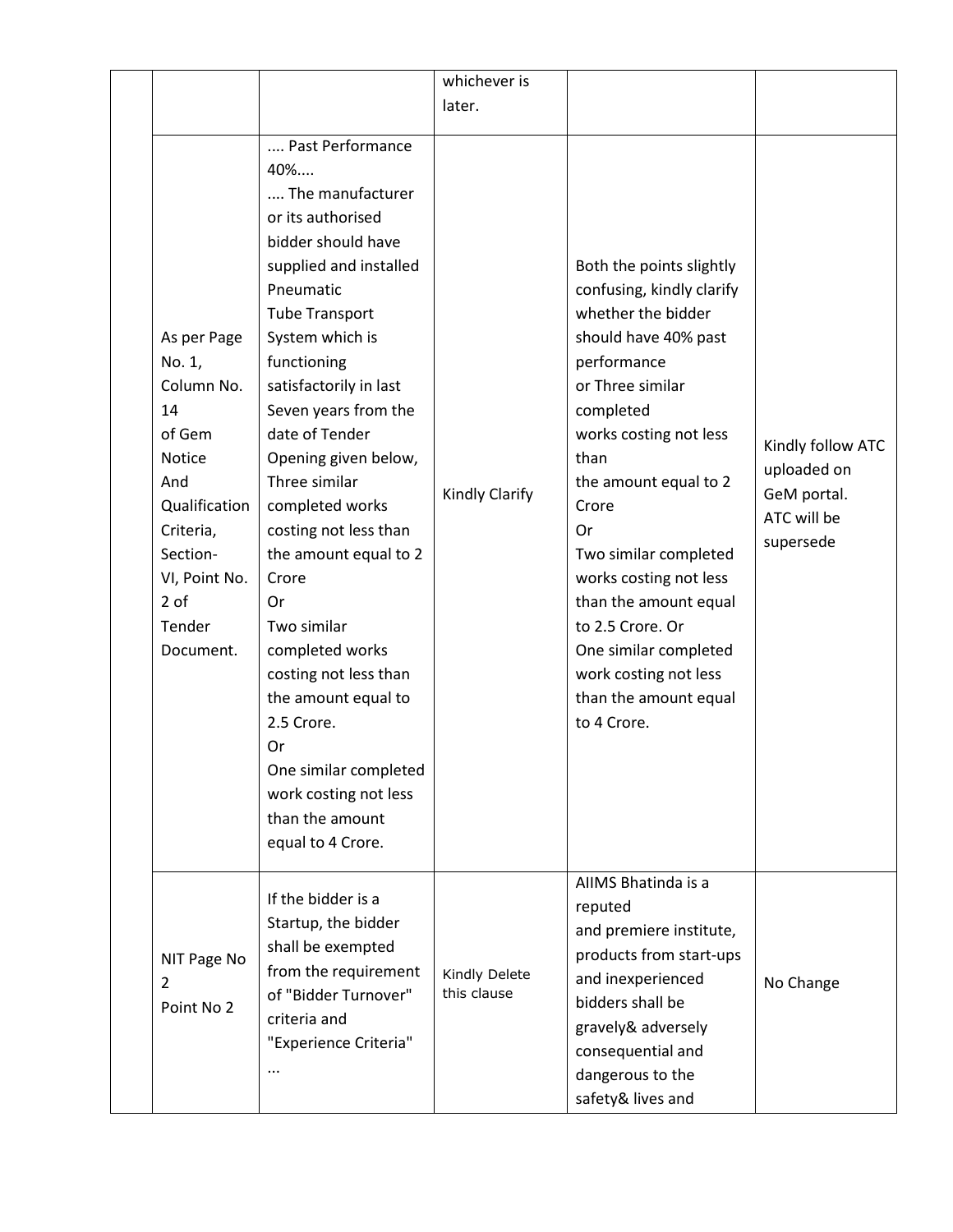|                                                                                                                                                                       |                                                                                                                                                                                                                                                                                                                                                                                                                                                                                                                                                                                              | whichever is                 |                                                                                                                                                                                                                                                                                                                                                                                                                         |                                                                             |
|-----------------------------------------------------------------------------------------------------------------------------------------------------------------------|----------------------------------------------------------------------------------------------------------------------------------------------------------------------------------------------------------------------------------------------------------------------------------------------------------------------------------------------------------------------------------------------------------------------------------------------------------------------------------------------------------------------------------------------------------------------------------------------|------------------------------|-------------------------------------------------------------------------------------------------------------------------------------------------------------------------------------------------------------------------------------------------------------------------------------------------------------------------------------------------------------------------------------------------------------------------|-----------------------------------------------------------------------------|
|                                                                                                                                                                       |                                                                                                                                                                                                                                                                                                                                                                                                                                                                                                                                                                                              | later.                       |                                                                                                                                                                                                                                                                                                                                                                                                                         |                                                                             |
| As per Page<br>No. 1,<br>Column No.<br>14<br>of Gem<br><b>Notice</b><br>And<br>Qualification<br>Criteria,<br>Section-<br>VI, Point No.<br>2 of<br>Tender<br>Document. | Past Performance<br>$40\%$<br>The manufacturer<br>or its authorised<br>bidder should have<br>supplied and installed<br>Pneumatic<br><b>Tube Transport</b><br>System which is<br>functioning<br>satisfactorily in last<br>Seven years from the<br>date of Tender<br>Opening given below,<br>Three similar<br>completed works<br>costing not less than<br>the amount equal to 2<br>Crore<br>Or<br>Two similar<br>completed works<br>costing not less than<br>the amount equal to<br>2.5 Crore.<br>Or<br>One similar completed<br>work costing not less<br>than the amount<br>equal to 4 Crore. | Kindly Clarify               | Both the points slightly<br>confusing, kindly clarify<br>whether the bidder<br>should have 40% past<br>performance<br>or Three similar<br>completed<br>works costing not less<br>than<br>the amount equal to 2<br>Crore<br>Or<br>Two similar completed<br>works costing not less<br>than the amount equal<br>to 2.5 Crore. Or<br>One similar completed<br>work costing not less<br>than the amount equal<br>to 4 Crore. | Kindly follow ATC<br>uploaded on<br>GeM portal.<br>ATC will be<br>supersede |
| NIT Page No<br>2<br>Point No 2                                                                                                                                        | If the bidder is a<br>Startup, the bidder<br>shall be exempted<br>from the requirement<br>of "Bidder Turnover"<br>criteria and<br>"Experience Criteria"<br>                                                                                                                                                                                                                                                                                                                                                                                                                                  | Kindly Delete<br>this clause | AIIMS Bhatinda is a<br>reputed<br>and premiere institute,<br>products from start-ups<br>and inexperienced<br>bidders shall be<br>gravely& adversely<br>consequential and<br>dangerous to the<br>safety& lives and                                                                                                                                                                                                       | No Change                                                                   |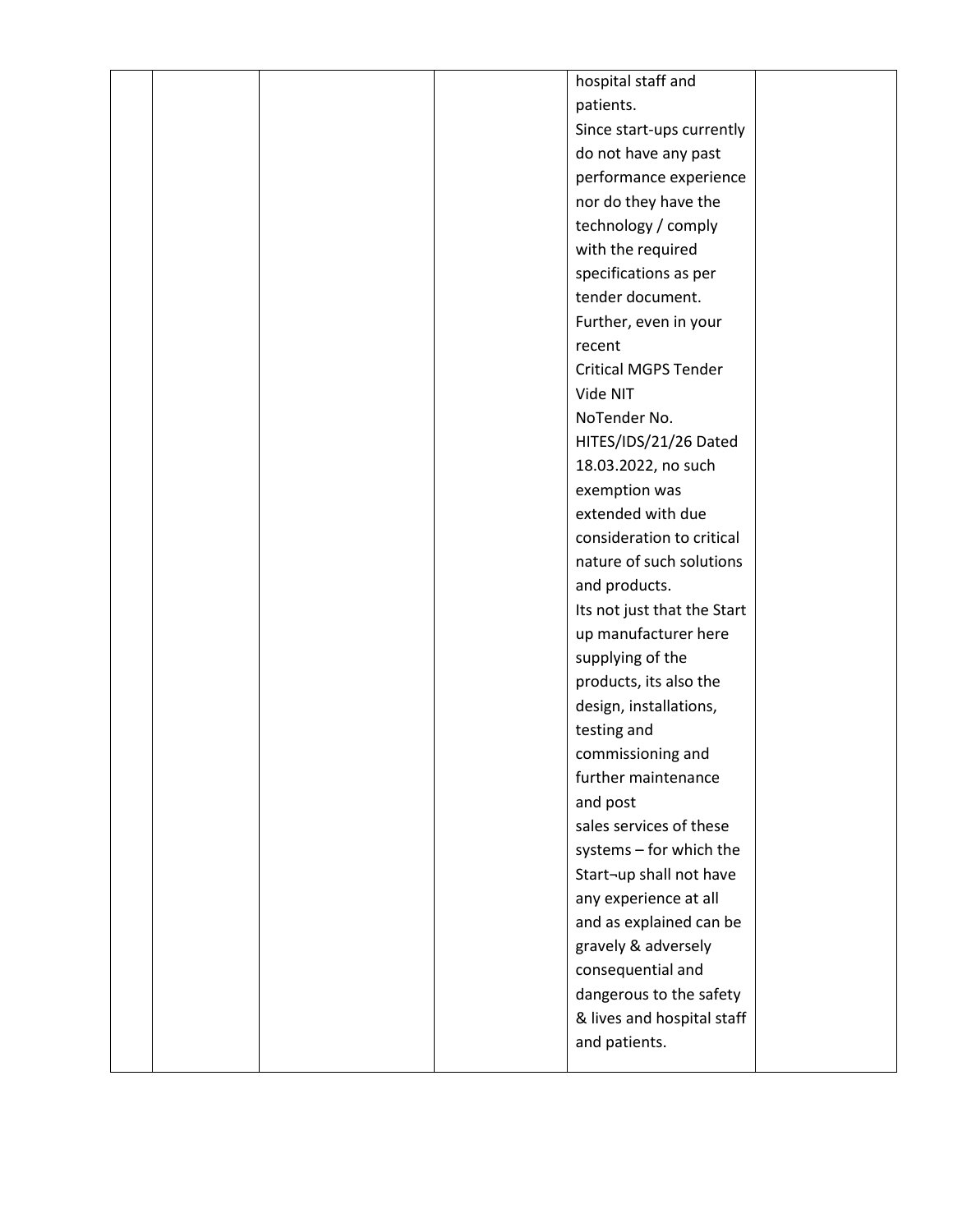|  |  | hospital staff and          |  |
|--|--|-----------------------------|--|
|  |  | patients.                   |  |
|  |  | Since start-ups currently   |  |
|  |  | do not have any past        |  |
|  |  | performance experience      |  |
|  |  | nor do they have the        |  |
|  |  | technology / comply         |  |
|  |  | with the required           |  |
|  |  | specifications as per       |  |
|  |  | tender document.            |  |
|  |  | Further, even in your       |  |
|  |  | recent                      |  |
|  |  | <b>Critical MGPS Tender</b> |  |
|  |  | Vide NIT                    |  |
|  |  | NoTender No.                |  |
|  |  | HITES/IDS/21/26 Dated       |  |
|  |  | 18.03.2022, no such         |  |
|  |  | exemption was               |  |
|  |  | extended with due           |  |
|  |  | consideration to critical   |  |
|  |  | nature of such solutions    |  |
|  |  | and products.               |  |
|  |  | Its not just that the Start |  |
|  |  | up manufacturer here        |  |
|  |  | supplying of the            |  |
|  |  | products, its also the      |  |
|  |  | design, installations,      |  |
|  |  | testing and                 |  |
|  |  | commissioning and           |  |
|  |  | further maintenance         |  |
|  |  | and post                    |  |
|  |  | sales services of these     |  |
|  |  | systems - for which the     |  |
|  |  | Start-up shall not have     |  |
|  |  | any experience at all       |  |
|  |  | and as explained can be     |  |
|  |  | gravely & adversely         |  |
|  |  | consequential and           |  |
|  |  | dangerous to the safety     |  |
|  |  | & lives and hospital staff  |  |
|  |  | and patients.               |  |
|  |  |                             |  |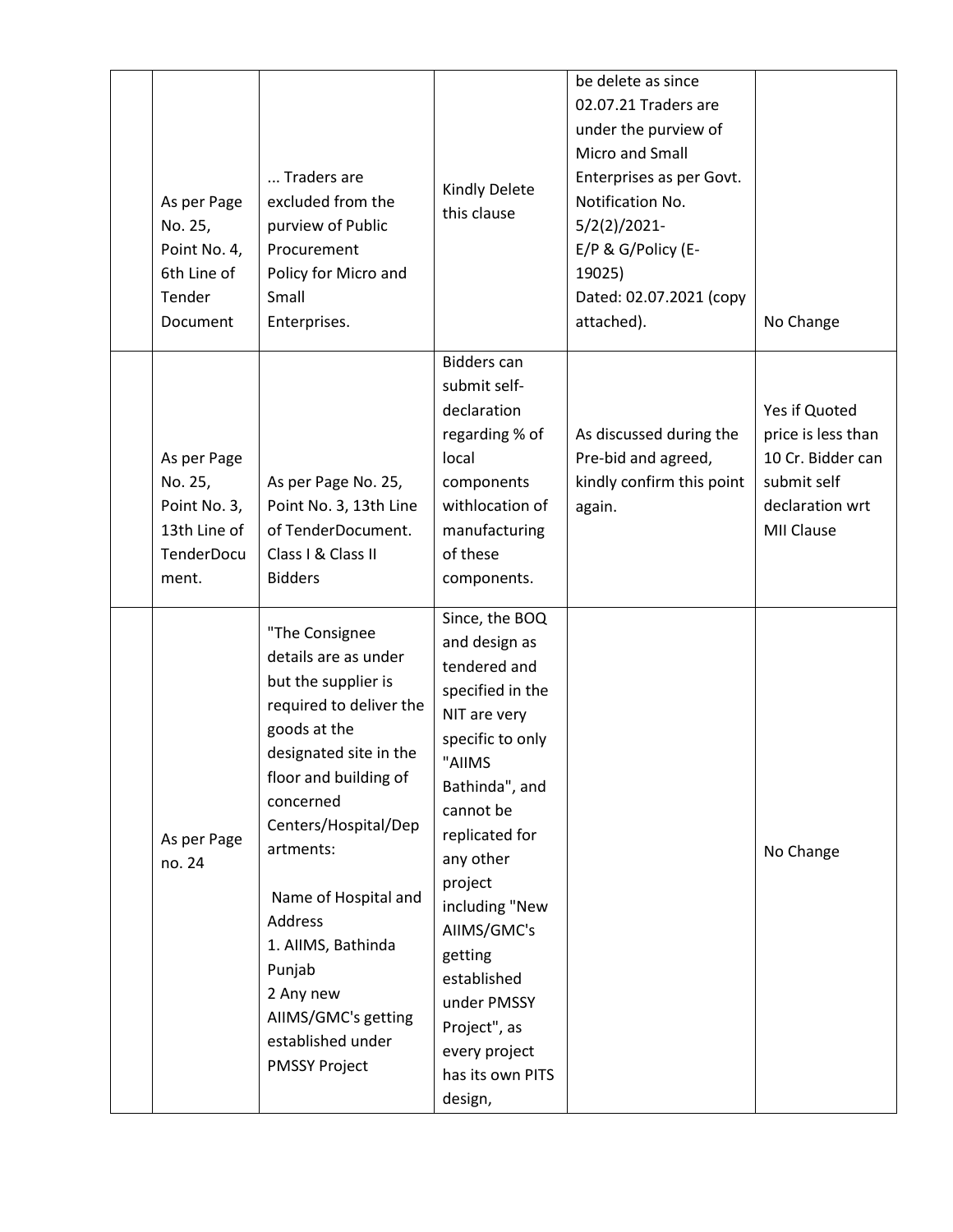| As per Page<br>No. 25,<br>Point No. 4,<br>6th Line of<br>Tender<br>Document          | Traders are<br>excluded from the<br>purview of Public<br>Procurement<br>Policy for Micro and<br>Small<br>Enterprises.                                                                                                                                                                                                                                             | Kindly Delete<br>this clause                                                                                                                                                                                                                                                                                                         | be delete as since<br>02.07.21 Traders are<br>under the purview of<br>Micro and Small<br>Enterprises as per Govt.<br>Notification No.<br>$5/2(2)/2021$ -<br>E/P & G/Policy (E-<br>19025)<br>Dated: 02.07.2021 (copy<br>attached). | No Change                                                                                                       |
|--------------------------------------------------------------------------------------|-------------------------------------------------------------------------------------------------------------------------------------------------------------------------------------------------------------------------------------------------------------------------------------------------------------------------------------------------------------------|--------------------------------------------------------------------------------------------------------------------------------------------------------------------------------------------------------------------------------------------------------------------------------------------------------------------------------------|-----------------------------------------------------------------------------------------------------------------------------------------------------------------------------------------------------------------------------------|-----------------------------------------------------------------------------------------------------------------|
| As per Page<br>No. 25,<br>Point No. 3,<br>13th Line of<br><b>TenderDocu</b><br>ment. | As per Page No. 25,<br>Point No. 3, 13th Line<br>of TenderDocument.<br>Class I & Class II<br><b>Bidders</b>                                                                                                                                                                                                                                                       | <b>Bidders can</b><br>submit self-<br>declaration<br>regarding % of<br>local<br>components<br>withlocation of<br>manufacturing<br>of these<br>components.                                                                                                                                                                            | As discussed during the<br>Pre-bid and agreed,<br>kindly confirm this point<br>again.                                                                                                                                             | Yes if Quoted<br>price is less than<br>10 Cr. Bidder can<br>submit self<br>declaration wrt<br><b>MII Clause</b> |
| As per Page<br>no. 24                                                                | "The Consignee<br>details are as under<br>but the supplier is<br>required to deliver the<br>goods at the<br>designated site in the<br>floor and building of<br>concerned<br>Centers/Hospital/Dep<br>artments:<br>Name of Hospital and<br>Address<br>1. AIIMS, Bathinda<br>Punjab<br>2 Any new<br>AIIMS/GMC's getting<br>established under<br><b>PMSSY Project</b> | Since, the BOQ<br>and design as<br>tendered and<br>specified in the<br>NIT are very<br>specific to only<br>"AIIMS<br>Bathinda", and<br>cannot be<br>replicated for<br>any other<br>project<br>including "New<br>AIIMS/GMC's<br>getting<br>established<br>under PMSSY<br>Project", as<br>every project<br>has its own PITS<br>design, |                                                                                                                                                                                                                                   | No Change                                                                                                       |